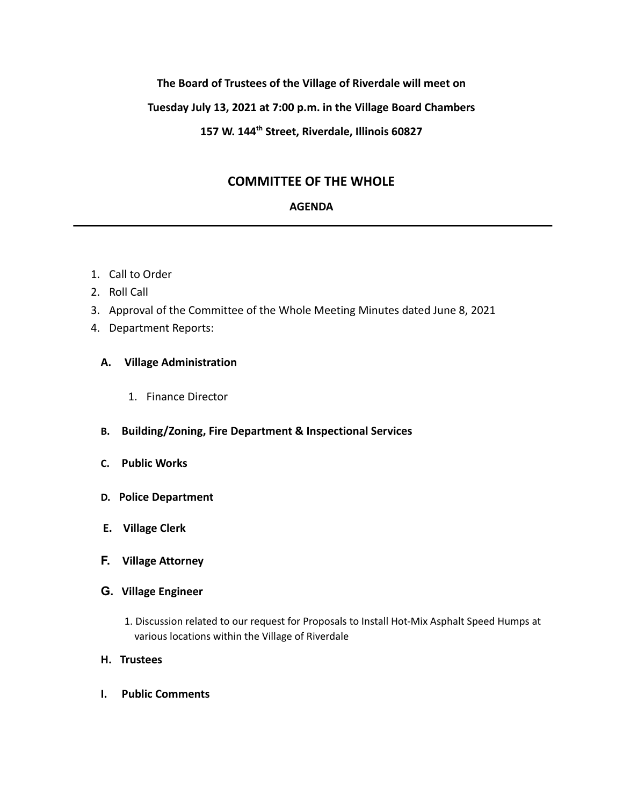## **The Board of Trustees of the Village of Riverdale will meet on**

## **Tuesday July 13, 2021 at 7:00 p.m. in the Village Board Chambers**

# **157 W. 144th Street, Riverdale, Illinois 60827**

## **COMMITTEE OF THE WHOLE**

#### **AGENDA**

- 1. Call to Order
- 2. Roll Call
- 3. Approval of the Committee of the Whole Meeting Minutes dated June 8, 2021
- 4. Department Reports:

### **A. Village Administration**

- 1. Finance Director
- **B. Building/Zoning, Fire Department & Inspectional Services**
- **C. Public Works**
- **D. Police Department**
- **E. Village Clerk**
- **F. Village Attorney**
- **G. Village Engineer**
	- 1. Discussion related to our request for Proposals to Install Hot-Mix Asphalt Speed Humps at various locations within the Village of Riverdale
- **H. Trustees**
- **I. Public Comments**